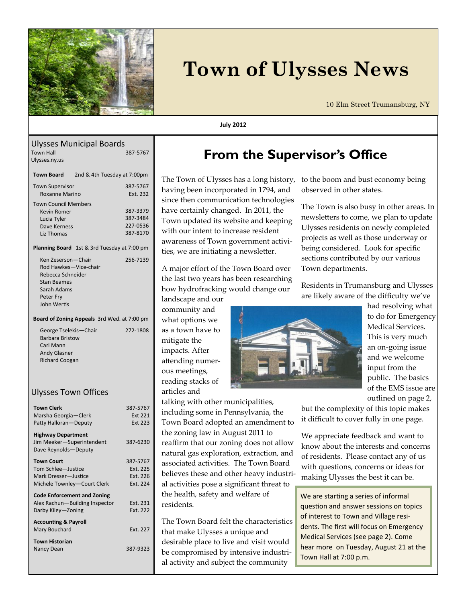

# **Town of Ulysses News**

10 Elm Street Trumansburg, NY

### **July 2012**

#### Ulysses Municipal Boards<br>Town Hall 1887-5767 **Town Hall** Ulysses.ny.us

| <b>Town Board</b>                                                                       | 2nd & 4th Tuesday at 7:00pm                        |                                              |  |  |
|-----------------------------------------------------------------------------------------|----------------------------------------------------|----------------------------------------------|--|--|
| <b>Town Supervisor</b><br><b>Roxanne Marino</b>                                         |                                                    | 387-5767<br>Fxt. 232                         |  |  |
| <b>Town Council Members</b><br>Kevin Romer<br>Lucia Tyler<br>Dave Kerness<br>Liz Thomas |                                                    | 387-3379<br>387-3484<br>227-0536<br>387-8170 |  |  |
|                                                                                         | <b>Planning Board</b> 1st & 3rd Tuesday at 7:00 pm |                                              |  |  |

| Ken Zeserson - Chair  | 256-7139 |
|-----------------------|----------|
| Rod Hawkes-Vice-chair |          |
| Rebecca Schneider     |          |
| Stan Beames           |          |
| Sarah Adams           |          |
| Peter Fry             |          |
| John Wertis           |          |
|                       |          |

#### **Board of Zoning Appeals** 3rd Wed. at 7:00 pm

| 272-1808 |
|----------|
|          |
|          |
|          |
|          |
|          |

### Ulysses Town Offices

| Town Clerk                         | 387-5767       |
|------------------------------------|----------------|
| Marsha Georgia - Clerk             | Ext 221        |
| Patty Halloran-Deputy              | <b>Fxt 223</b> |
|                                    |                |
| <b>Highway Department</b>          |                |
| Jim Meeker-Superintendent          | 387-6230       |
| Dave Reynolds-Deputy               |                |
| <b>Town Court</b>                  | 387-5767       |
| Tom Schlee-Justice                 | Fxt. 225       |
| Mark Dresser-Justice               | Fxt. 226       |
| Michele Townley-Court Clerk        | Fxt. 224       |
|                                    |                |
| <b>Code Enforcement and Zoning</b> |                |
| Alex Rachun-Building Inspector     | Ext. 231       |
| Darby Kiley-Zoning                 | Ext. 222       |
|                                    |                |
| <b>Accounting &amp; Payroll</b>    |                |
| Mary Bouchard                      | Fxt. 227       |
| <b>Town Historian</b>              |                |
| Nancy Dean                         | 387-9323       |
|                                    |                |
|                                    |                |

## **From the Supervisor's Office**

The Town of Ulysses has a long history, having been incorporated in 1794, and since then communication technologies have certainly changed. In 2011, the Town updated its website and keeping with our intent to increase resident awareness of Town government activities, we are initiating a newsletter.

A major effort of the Town Board over the last two years has been researching how hydrofracking would change our

landscape and our community and what options we as a town have to mitigate the impacts. After attending numerous meetings, reading stacks of articles and

talking with other municipalities, including some in Pennsylvania, the Town Board adopted an amendment to the zoning law in August 2011 to reaffirm that our zoning does not allow natural gas exploration, extraction, and associated activities. The Town Board believes these and other heavy industrial activities pose a significant threat to the health, safety and welfare of residents.

The Town Board felt the characteristics that make Ulysses a unique and desirable place to live and visit would be compromised by intensive industrial activity and subject the community

to the boom and bust economy being observed in other states.

The Town is also busy in other areas. In newsletters to come, we plan to update Ulysses residents on newly completed projects as well as those underway or being considered. Look for specific sections contributed by our various Town departments.

Residents in Trumansburg and Ulysses are likely aware of the difficulty we've



had resolving what to do for Emergency Medical Services. This is very much an on-going issue and we welcome input from the public. The basics of the EMS issue are outlined on page 2,

but the complexity of this topic makes it difficult to cover fully in one page.

We appreciate feedback and want to know about the interests and concerns of residents. Please contact any of us with questions, concerns or ideas for making Ulysses the best it can be.

We are starting a series of informal question and answer sessions on topics of interest to Town and Village residents. The first will focus on Emergency Medical Services (see page 2). Come hear more on Tuesday, August 21 at the Town Hall at 7:00 p.m.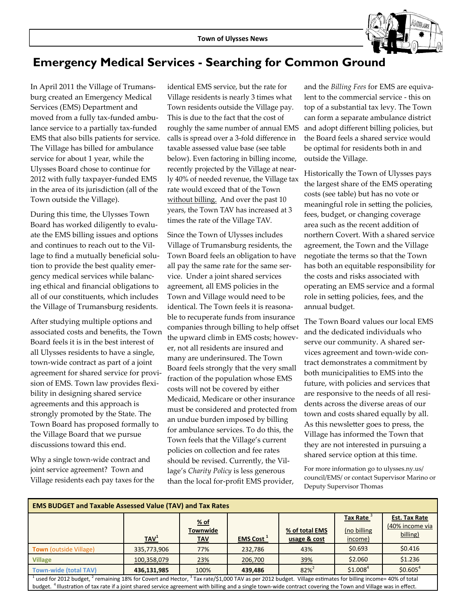

### **Emergency Medical Services - Searching for Common Ground**

In April 2011 the Village of Trumansburg created an Emergency Medical Services (EMS) Department and moved from a fully tax-funded ambulance service to a partially tax-funded EMS that also bills patients for service. The Village has billed for ambulance service for about 1 year, while the Ulysses Board chose to continue for 2012 with fully taxpayer-funded EMS in the area of its jurisdiction (all of the Town outside the Village).

During this time, the Ulysses Town Board has worked diligently to evaluate the EMS billing issues and options and continues to reach out to the Village to find a mutually beneficial solution to provide the best quality emergency medical services while balancing ethical and financial obligations to all of our constituents, which includes the Village of Trumansburg residents.

After studying multiple options and associated costs and benefits, the Town Board feels it is in the best interest of all Ulysses residents to have a single, town-wide contract as part of a joint agreement for shared service for provision of EMS. Town law provides flexibility in designing shared service agreements and this approach is strongly promoted by the State. The Town Board has proposed formally to the Village Board that we pursue discussions toward this end.

Why a single town-wide contract and joint service agreement? Town and Village residents each pay taxes for the identical EMS service, but the rate for Village residents is nearly 3 times what Town residents outside the Village pay. This is due to the fact that the cost of roughly the same number of annual EMS calls is spread over a 3-fold difference in taxable assessed value base (see table below). Even factoring in billing income, recently projected by the Village at nearly 40% of needed revenue, the Village tax rate would exceed that of the Town without billing. And over the past 10 years, the Town TAV has increased at 3 times the rate of the Village TAV.

Since the Town of Ulysses includes Village of Trumansburg residents, the Town Board feels an obligation to have all pay the same rate for the same service. Under a joint shared services agreement, all EMS policies in the Town and Village would need to be identical. The Town feels it is reasonable to recuperate funds from insurance companies through billing to help offset the upward climb in EMS costs; however, not all residents are insured and many are underinsured. The Town Board feels strongly that the very small fraction of the population whose EMS costs will not be covered by either Medicaid, Medicare or other insurance must be considered and protected from an undue burden imposed by billing for ambulance services. To do this, the Town feels that the Village's current policies on collection and fee rates should be revised. Currently, the Village's *Charity Policy* is less generous than the local for-profit EMS provider,

and the *Billing Fees* for EMS are equivalent to the commercial service - this on top of a substantial tax levy. The Town can form a separate ambulance district and adopt different billing policies, but the Board feels a shared service would be optimal for residents both in and outside the Village.

Historically the Town of Ulysses pays the largest share of the EMS operating costs (see table) but has no vote or meaningful role in setting the policies, fees, budget, or changing coverage area such as the recent addition of northern Covert. With a shared service agreement, the Town and the Village negotiate the terms so that the Town has both an equitable responsibility for the costs and risks associated with operating an EMS service and a formal role in setting policies, fees, and the annual budget.

The Town Board values our local EMS and the dedicated individuals who serve our community. A shared services agreement and town-wide contract demonstrates a commitment by both municipalities to EMS into the future, with policies and services that are responsive to the needs of all residents across the diverse areas of our town and costs shared equally by all. As this newsletter goes to press, the Village has informed the Town that they are not interested in pursuing a shared service option at this time.

For more information go to ulysses.ny.us/ council/EMS/ or contact Supervisor Marino or Deputy Supervisor Thomas

| <b>EMS BUDGET and Taxable Assessed Value (TAV) and Tax Rates</b>                                                                                                                      |                  |                         |                              |                |                                 |                                                     |  |  |  |  |
|---------------------------------------------------------------------------------------------------------------------------------------------------------------------------------------|------------------|-------------------------|------------------------------|----------------|---------------------------------|-----------------------------------------------------|--|--|--|--|
|                                                                                                                                                                                       |                  | % of<br><b>Townwide</b> |                              | % of total EMS | <b>Tax Rate</b><br>(no billing) | <b>Est. Tax Rate</b><br>(40% income via<br>billing) |  |  |  |  |
|                                                                                                                                                                                       | $\mathbf{IAV}^1$ | <b>TAV</b>              | <b>EMS Cost</b> <sup>1</sup> | usage & cost   | income)                         |                                                     |  |  |  |  |
| <b>Town</b> (outside Village)                                                                                                                                                         | 335,773,906      | 77%                     | 232,786                      | 43%            | \$0.693                         | \$0.416                                             |  |  |  |  |
| <b>Village</b>                                                                                                                                                                        | 100,358,079      | 23%                     | 206,700                      | 39%            | \$2.060                         | \$1.236                                             |  |  |  |  |
| <b>Town-wide (total TAV)</b>                                                                                                                                                          | 436,131,985      | 100%                    | 439.486                      | $82%^{2}$      | \$1.008 <sup>4</sup>            | \$0.605 <sup>4</sup>                                |  |  |  |  |
| $^1$ used for 2012 budget, <sup>2</sup> remaining 18% for Covert and Hector, <sup>3</sup> Tax rate/\$1,000 TAV as per 2012 budget. Village estimates for billing income= 40% of total |                  |                         |                              |                |                                 |                                                     |  |  |  |  |
| budget. <sup>4</sup> Illustration of tax rate if a joint shared service agreement with billing and a single town-wide contract covering the Town and Village was in effect.           |                  |                         |                              |                |                                 |                                                     |  |  |  |  |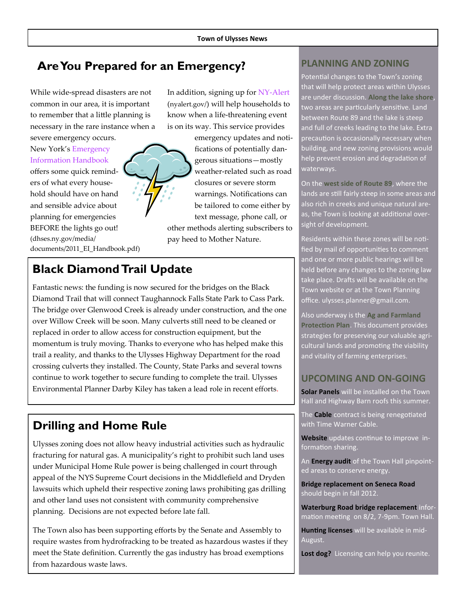### **Are You Prepared for an Emergency? PLANNING AND ZONING**

While wide-spread disasters are not common in our area, it is important to remember that a little planning is necessary in the rare instance when a severe emergency occurs.

New York's [Emergency](http://www.dhses.ny.gov/media/documents/2011_EI_Handbook.pdf)  [Information Handbook](http://www.dhses.ny.gov/media/documents/2011_EI_Handbook.pdf) offers some quick reminders of what every household should have on hand and sensible advice about planning for emergencies BEFORE the lights go out! (dhses.ny.gov/media/ documents/2011\_EI\_Handbook.pdf) In addition, signing up for NY-[Alert](http://www.nyalert.gov/) (nyalert.gov/) will help households to know when a life-threatening event is on its way. This service provides

emergency updates and notifications of potentially dangerous situations—mostly weather-related such as road closures or severe storm warnings. Notifications can be tailored to come either by text message, phone call, or other methods alerting subscribers to pay heed to Mother Nature.

### **Black Diamond Trail Update**

Fantastic news: the funding is now secured for the bridges on the Black Diamond Trail that will connect Taughannock Falls State Park to Cass Park. The bridge over Glenwood Creek is already under construction, and the one over Willow Creek will be soon. Many culverts still need to be cleaned or replaced in order to allow access for construction equipment, but the momentum is truly moving. Thanks to everyone who has helped make this trail a reality, and thanks to the Ulysses Highway Department for the road crossing culverts they installed. The County, State Parks and several towns continue to work together to secure funding to complete the trail. Ulysses Environmental Planner Darby Kiley has taken a lead role in recent efforts.

### **Drilling and Home Rule**

Ulysses zoning does not allow heavy industrial activities such as hydraulic fracturing for natural gas. A municipality's right to prohibit such land uses under Municipal Home Rule power is being challenged in court through appeal of the NYS Supreme Court decisions in the Middlefield and Dryden lawsuits which upheld their respective zoning laws prohibiting gas drilling and other land uses not consistent with community comprehensive planning. Decisions are not expected before late fall.

The Town also has been supporting efforts by the Senate and Assembly to require wastes from hydrofracking to be treated as hazardous wastes if they meet the State definition. Currently the gas industry has broad exemptions from hazardous waste laws.

Potential changes to the Town's zoning that will help protect areas within Ulysses are under discussion. **Along the lake shore**, two areas are particularly sensitive. Land between Route 89 and the lake is steep and full of creeks leading to the lake. Extra precaution is occasionally necessary when building, and new zoning provisions would help prevent erosion and degradation of waterways.

On the **west side of Route 89**, where the lands are still fairly steep in some areas and also rich in creeks and unique natural areas, the Town is looking at additional oversight of development.

Residents within these zones will be notified by mail of opportunities to comment and one or more public hearings will be held before any changes to the zoning law take place. Drafts will be available on the Town website or at the Town Planning office. ulysses.planner@gmail.com.

Also underway is the **Ag and Farmland Protection Plan**. This document provides strategies for preserving our valuable agricultural lands and promoting the viability and vitality of farming enterprises.

### **UPCOMING AND ON-GOING**

**Solar Panels** will be installed on the Town Hall and Highway Barn roofs this summer.

The **Cable** contract is being renegotiated with Time Warner Cable.

**Website** updates continue to improve information sharing.

An **Energy audit** of the Town Hall pinpointed areas to conserve energy.

**Bridge replacement on Seneca Road**  should begin in fall 2012.

**Waterburg Road bridge replacement** information meeting on 8/2, 7-9pm. Town Hall.

**Hunting licenses** will be available in mid-August.

**Lost dog?** Licensing can help you reunite.